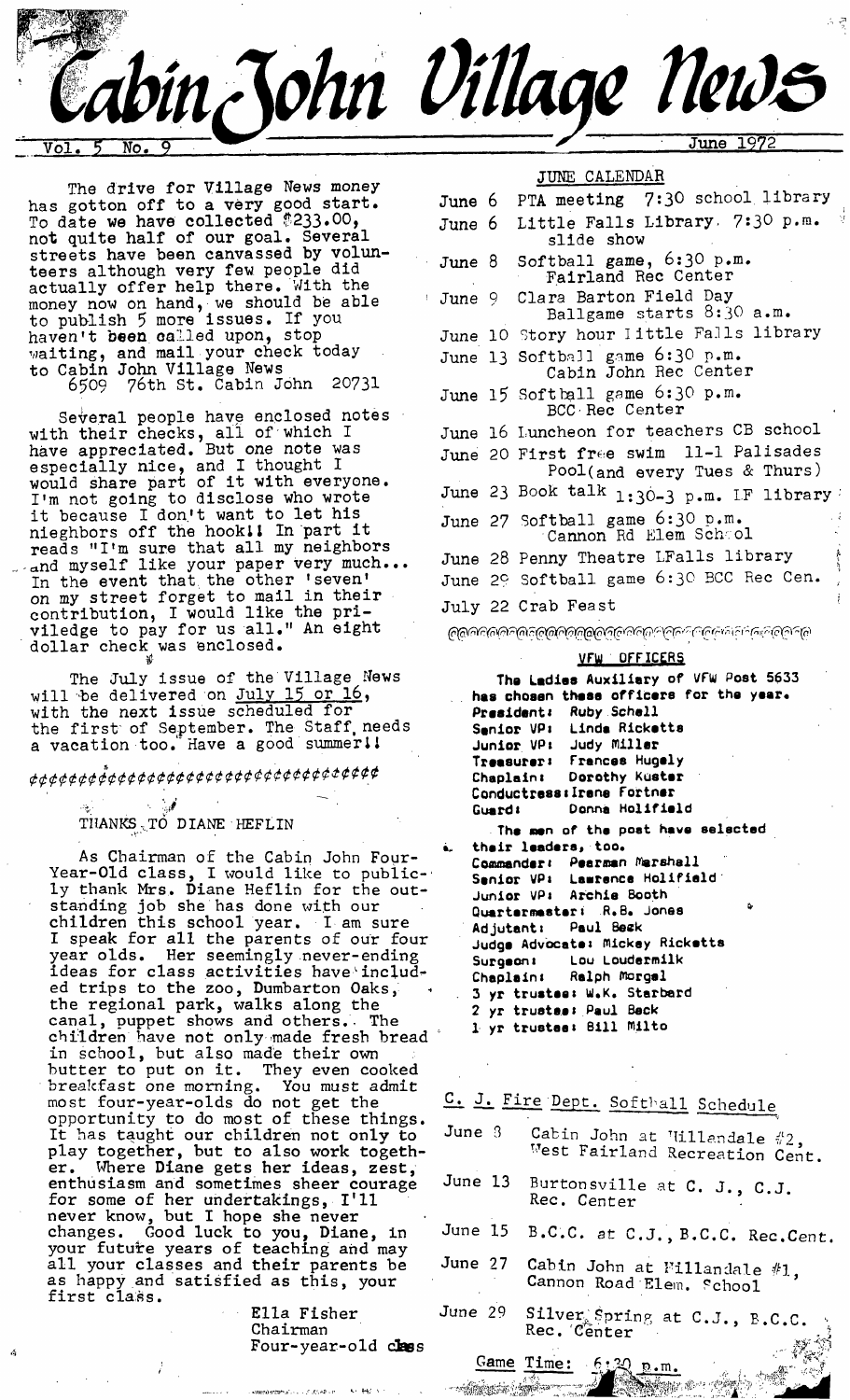

The drive for Village News money has gotton off to a very good start. To date we have collected \$233.00, not quite half of our goal. Several streets have been canvassed by volunteers although very few PeOPle did actually offer help there. With the money now on hand, • we should be able to publish 5 more issues. If you haven't **been** oailed upon, stop  $_{\rm{wality,}}$  and mail your check today to Cabin John Village News 6509 76th St. Cabin John 20731

Several people have enclosed notes with their checks, all of which I have appreciated. But one note was especially nice, and I thought I would share part of it with everyone. I'm not going to disclose who wrote it because I don't want to let his nleghbors off the hook~1 In part it reads "I'm sure that all my neighbors and myself like your paper very much... In the event that the other 'seven' on my street forget to mail in their contribution, I would llke the priviledge to pay for us all." An eight dollar check was enclosed.

The July issue of the Village News will be delivered on <u>July 15 or 16</u>, with the next issue scheduled for the first of September. The Staff needs a vacation too. Have a good summer!!

# *¢¢¢¢¢¢¢<sup>\$</sup>¢¢¢¢¢¢¢¢¢¢¢¢¢¢¢¢¢¢¢¢≠≠*¢¢¢¢

# THANKS TO DIANE HEFLIN

As Chairman of the Cabin John Four-Year-Old class, I would like to publicly thank Mrs, Diane Heflin for the outstanding job she has done with our children this school year. I• am sure I speak for all the parents of our four year olds. Her seemingly never-ending ideas for class activities have includ $\cdot$ ed trips to the zoo, Dumbarton Oaks, $^+$ the regional park, walks along the canal, puppet shows and others.~ The children have not only made fresh bread in school, but also made their own butter to put on it. They even cooked *brea1¢fast one* morning. You *must* admit most four-year-olds do not get the opportunity to do most of these things. It has taught our children not only to play together, but to also work together. Where Diane gets her ideas, zest, enthusiasm and sometimes sheer courage for some of her *undertakings,* I'll never know, but I hope she never changes• Good luck to you, Diane, in your future years of teaching and may all your classes and their parents be as happy and satisfied as this, your first class.

Ella Fisher Chairman Four-year-old class

| JUNE CALENDAR               |  |                                                                        |  |  |  |
|-----------------------------|--|------------------------------------------------------------------------|--|--|--|
| June 6                      |  | PTA meeting 7:30 school library                                        |  |  |  |
| June 6                      |  | Ņ<br>Little Falls Library. 7:30 p.m.<br>slide show                     |  |  |  |
| June 8                      |  | Softball game, 6:30 p.m.<br>Fairland Rec Center                        |  |  |  |
| June 9                      |  | Clara Barton Field Day<br>Ballgame starts 8:30 a.m.                    |  |  |  |
|                             |  | June 10 Story hour Iittle Falls library                                |  |  |  |
|                             |  | June 13 Softball game 6:30 p.m.<br>Cabin John Rec Center               |  |  |  |
|                             |  | June 15 Softball game 6:30 p.m.<br>BCC Rec Center                      |  |  |  |
|                             |  | June 16 Luncheon for teachers CB school                                |  |  |  |
|                             |  | June 20 First free swim 11-1 Palisades<br>Pool(and every Tues & Thurs) |  |  |  |
|                             |  | June 23 Book talk $1:30-3$ p.m. IF library                             |  |  |  |
|                             |  | June 27 Softball game 6:30 p.m.<br>Cannon Rd Elem School               |  |  |  |
|                             |  | 医小叶<br>June 28 Penny Theatre LFalls library                            |  |  |  |
|                             |  | June 29 Softball game 6:30 BCC Rec Cen.                                |  |  |  |
|                             |  | July 22 Crab Feast                                                     |  |  |  |
| <b>౷</b> ౷౷౷౷౷౷౷౷౷౷౷౷౷౷౷౷౷౷ |  |                                                                        |  |  |  |

#### **VFW OFF ICERS**

**The Ladies Auxiliary of VFW Post 5633**  has chosen these officers for the year. **President: Ruby Schell Smnio~ VP: Linde Rickotts**  Judy **Miller Treesu~e): Frances Hugely**  Chaplain: Dorothy Kuster Conductress: Irene Fortner Guard: Donna Holifield **The men of the post hove selected =~ their loaders, too.**  Commander: Pearman Marshall **Senior VP~ Lsarencs Holl~lsld Junior VP: A~chis Booth Qumrtermester: R.B. Jonas Adjutant: Paul Beck Judge Advocate: ~Ickey Ricketta Su~gaon: Lou Loude~mllk**  Chaplain: Ralph Morgal **3 y¢ trustee: W.K. Starbard 2 yr t~usto=: Paul Beck i. yr trustee: Bill ~!Ito** 

# C. J. Fire Dept. Softball Schedule

| June 3 | Cabin John at Willandale #2,<br>West Fairland Recreation Cent. |  |  |
|--------|----------------------------------------------------------------|--|--|
|--------|----------------------------------------------------------------|--|--|

- June 13 Burtonsville at C. J., C.J. Rec. Center
- June 15 B.C.C. st C.J., B.C.C. Rec.Cent.
- June 27 Cabin John at Fillandale #1, Cannon Road Elem. School
- June 29 Silver Spring at C.J., B.C.C.<br>Rec. Center

Game Time:  $6.20 \text{ p.m.}$ 

**Service Service**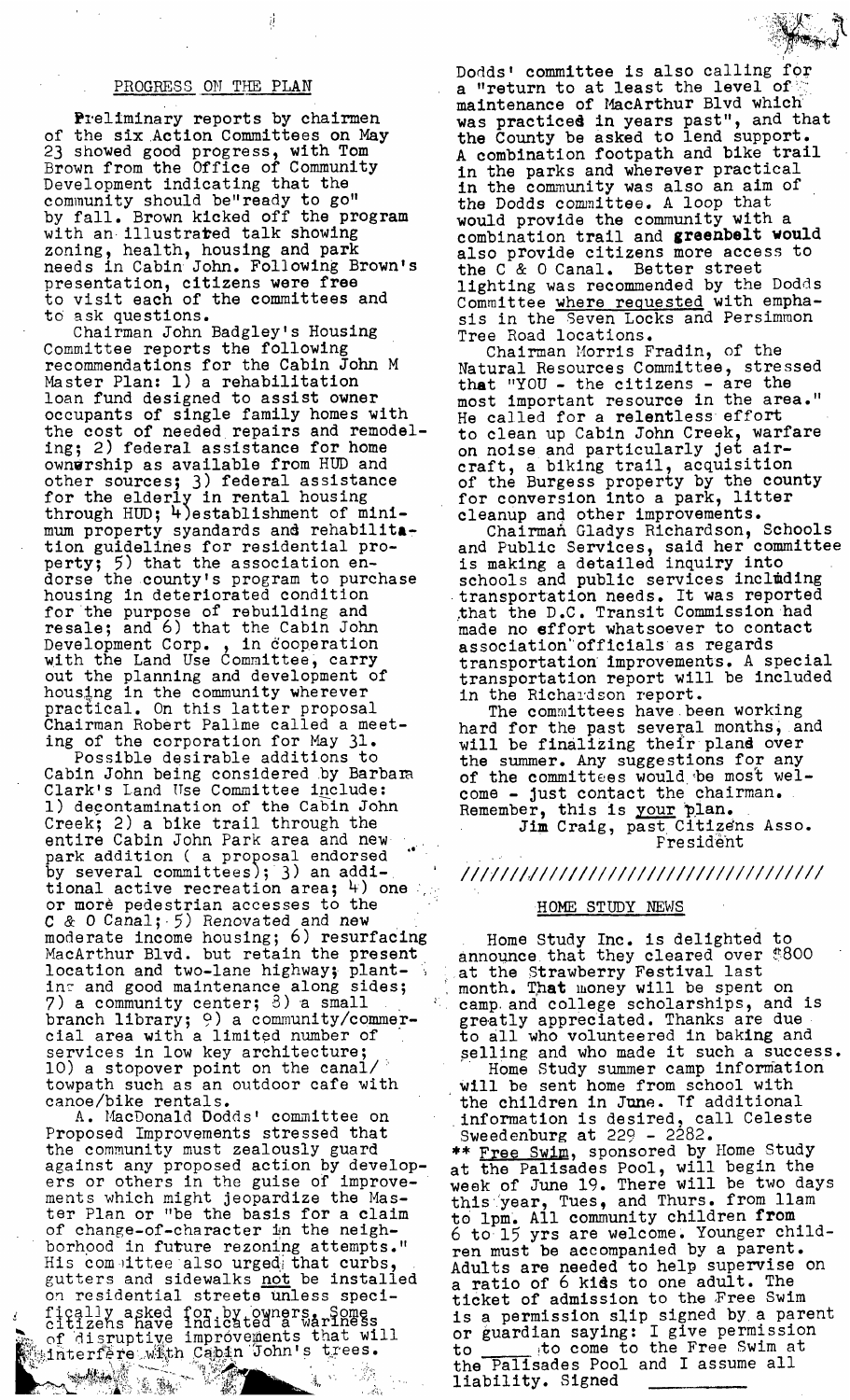# PROGRESS ON THE PLAN

ij

Preliminary reports by chairmen of the six Action Committees on May 23 showed good progress, with Tom Brown from the Office of Community Development indicating that the community should be"ready to go" by fall. Brown kicked off the program with an illustrated talk showing zoning, health, housing and park needs in Cabin John. Following Brown's presentation, citizens were free to visit each of the committees and to ask questions.

Chairman John Badgley's Housing Committee reports the following recommendations for the Cabin John M Master Plan: l) a rehabilitation loan fund designed to assist owner occupants of single family homes with the cost of needed repairs and remodeling; 2) federal assistance for home ownsrship as available from HUD and other sources; 3) federal assistance for the elderly in rental housing through HUD; 4)establishment of minimum property syandards and rehabilita $_{\rm T}$ tion guidelines for residential property; 5) that the association endorse the county's program to purchase housing in deteriorated condition for the purpose of rebuilding and  $\verb|resale;$  and 6) that the Cabin John  $-$ Development Corp. , in 6ooperation with the Land Use Committee, carry out the planning and development of housing in the community wherever practical. On this latter proposal Chairman Robert Pallme called a meeting of the corporation for May 31.

Possible desirable additions to Cabin John being considered by Barbam Clark's Land Use Committee include: l) degontamination of the Cabin John Creek; 2) a bike trail through the entire Cabin John Park area and new park addition ( a proposal endorsed "" by several committees); 3) an addl- ' tional active recreation area;  $\frac{1}{4}$  one or more pedestrian accesses to the C & 0 Canal; 5) Renovated and new moderate income housing; 6) resurfaclng MacArthur Blvd. but retain the present location and two-lane highway; plantin $\tau$  and good maintenance along sides;  $7)$  a community center;  $3)$  a small branch library; 9) a community/commercial area with a limited number of services in low key architecture; 10) a stopover point on the canal/ towpath such as an outdoor cafe with canoe/bike rentals.

A. MacDonald Oodds' committee on Proposed Improvements stressed that the community must zealously guard against any proposed action by developers or others in the guise of improvements which might jeopardize the Master Plan or "be the basis for a claim of change-of-character in the neighborhood in future rezoning attempts."  $H$ is com $~$ ittee also urged $_{\mathbb{F}}$  that curbs, gutters and sidewalks <u>not</u> be installed on residential streets unless specifically asked for by owners. Some statically asked for by owners.  $\mathbb{R}_+$  of disruptive improvements that will  $\mathbb{R}$  interfere with Cabin John's trees.

**.<.~.'~i,~;.~! " . :** .... ,. ~...¢~~ .. ,. **. .L~i .** "~&~,%~-~:.."" ',- [~ ~' ' " ".'~,~" ~" " ~ .:! ' """ " . '

Dodds' committee is also calling for a "return to at least the level of maintenance of MacArthur Blvd which was practiced in years past", and that the County be asked to lend support. A combination footpath and bike trail in the parks and wherever practical in the community was also an aim of the Dodds committee. A loop that would provide the community with a combination trail and greenbelt would also provide citizens more access to the C & 0 Canal. Better street lighting was recommended by the Dodds Committee where requested with emphasis in the Seven Locks and Persimmon Tree Road locations.

Chairman Morris Fradin, of the Natural Resources Committee, stressed that "YOU - the citizens - are the most important resource in the area." He called for a relentless effort to clean up Cabin John Creek, warfare on noise and particularly Jet aircraft, a biking trail, acquisition of the Burgess property by the county for conversion into a park, litter cleanup and other improvements.

Chairmań Gladys Richardson, Schools and Public Services, said her committee is making a detailed inquiry into schools and public services inclmding transportation needs. It was reported that the D.C. Transit Commission had made no effort whatsoever to contact association"officials as regards transportation improvements. A special transportation report will be included in the Richardson report.

The committees have been working hard for the past several months, and will be finalizing their pland over the summer. Any suggestions for any of the committees would be most welcome - Just contact the chairman. Remember, this is <u>your</u> pla. Jim Craig, past Citizens Asso.

President

# */lItIlI, II/IIlI/IIlIilIlIII/I/I/IIlII/*

# HOME STUDY NEWS

Home Study Inc. is delighted to announce that they cleared over  $\$800^\circ$ at the Strawberry Festival last month. That money will be spent on camp, and college scholarships, and is greatly appreciated. Thanks are due to all who volunteered in baking and selling and who made it such a success. Home Study summer camp information will be sent home from school with the children in June. If additional information is desired, call Celeste Sweedenburg at 229 - 2282.

\*\* <u>Free Swim</u>, sponsored by Home Study at the Palisades Pool, will begin the week of June 19. There will be two days this year, Tues, and Thurs. from llam to lpm. All community children from 6 to 15 yrs are welcome, Younger children must be accompanied by a parent. Adults are needed to help supervise on a ratio of 6 kids to one adult. The ticket of admission to the Free Swim is a permission slip signed by a parent or guardian saying: I give permission to **the to the Free Swim at** the Palisades Pool and I assume all liability. Signed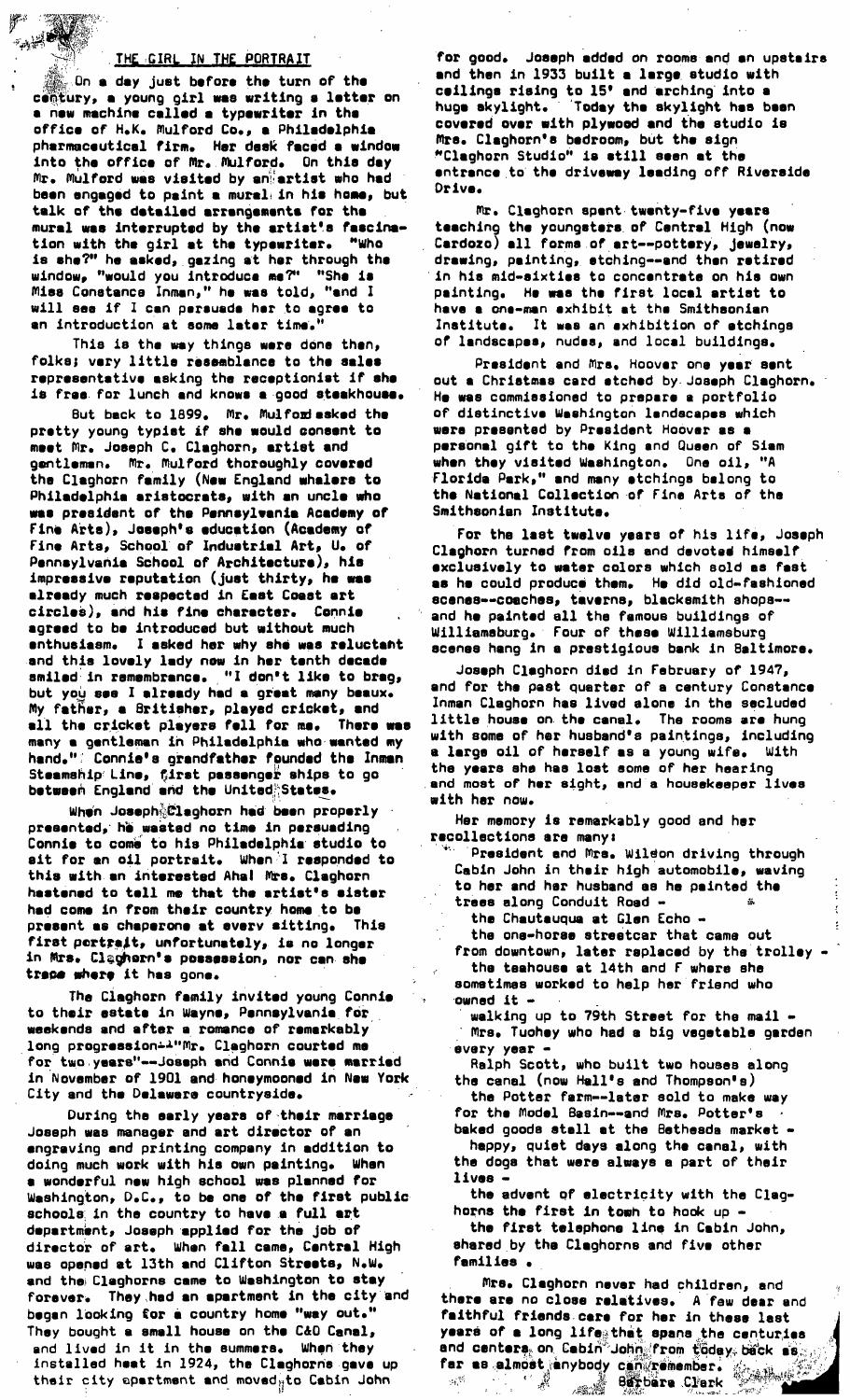### THE GIRL IN THE PORTRAIT

 $_{\odot}$ On a day just before the turn of the century, a young girl was writing a letter on a new machine called a typewriter in the office of H.K. Mulford Co., a Philadelphia pharmaceutical firm. Her desk faced a window into the office of Mr. Mulford. On this day Mr. Mulford was visited by an artist who had been engaged to paint a mural in his home, but talk of the detailed arrengements for the mural was interrupted by the artist's fascination with the girl at the typewriter. "Who is she?" he asked, gazing at her through the window, "would you introduce me?" "She is Miss Constance Inman," he was told, "and I will see if I can persuade her to agree to an introduction at some later time.

This is the way things were done then, folks; very little resemblance to the sales representative asking the receptionist if she is free for lunch and knows a good steakhouse.

But back to 1899. Mr. Mulford asked the pretty young typist if she would consent to meet Mr. Joseph C. Claghorn, artist and gentlemen. Mr. Mulford thoroughly covered the Claghorn family (New England whalers to Philadelphia aristocrats, with an uncle who was president of the Pennsylvania Academy of Fine Arts), Joseph's education (Academy of Fine Arts, School of Industrial Art, U. of Pennsylvania School of Architecture), his impressive reputation (just thirty, he was already much respected in East Coast art circles), and his fine character. Connie agreed to be introduced but without much enthusiasm. I asked her why she was reluctant and this lovely lady now in her tenth decade smiled in remembrance. "I don't like to brag, but you see I already had a great many beaux. My father, a Britisher, played cricket, and all the cricket players fell for me. There was many a gentleman in Philadelphia who wanted my<br>hand.": Connie's grandfather founded the Inman Steamship Line, first passenger ships to go<br>between England and the United States.

When Joseph Claghorn had been properly presented, he wasted no time in persuading Connie to come to his Philadelphia studio to sit for an oil portrait. When I responded to this with an interested Ahal Mrs. Claghorn hastened to tell me that the artist's sister had come in from their country home to be present as chaperone at every sitting. This first portrait, unfortunately, is no longer in Mrs. Claghern's possession, nor can she trace where it has gone.

The Claghorn family invited young Connie to their estate in Wayne, Pennsylvania for weekends and after a romance of remarkably long progression=A"Mr. Claghorn courted me for two years"--Joseph and Connie were married in November of 1901 and honeymooned in New York City and the Delaware countryside.

During the early years of their marriage Joseph was manager and art director of an engraving and printing company in addition to doing much work with his own painting. When a wonderful new high school was planned for Washington, D.C., to be one of the first public schools in the country to have a full art department, Joseph applied for the job of director of art. When fall came, Central High was opened at 13th and Clifton Streets, N.W. and the Claghorns came to Weshington to stay forever. They had an apartment in the city and began looking for a country home "way out." They bought a small house on the C&D Canal, and lived in it in the summers. When they installed heat in 1924, the Claghorns gave up their city apartment and moved<sub>it</sub>to Cabin John

for good. Joseph added on rooms and an upstairs and then in 1933 built a large studio with ceilings rising to 15' and arching into a huga skylight. Today the skylight has been covered over with plywood and the studio is Mrs. Claghorn's bedroom, but the sign "Claghorn Studio" is still seen at the entrance to the driveway leading off Riverside Drive.

Mr. Claghorn spent twenty-five years teaching the youngstars of Central High (now Cardozo) all forms of art--pottery, jewelry, drawing, painting, stching--and then retired in his mid-sixties to concentrate on his own painting. He was the first local artist to have a one-man exhibit at the Smithsonian Institute. It was an exhibition of etchings of landscapes, nudes, and local buildings.

President and Mrs. Hoover one year sent out a Christmas card atched by Joseph Claghorn. He was commissioned to prepare a portfolio of distinctive Washington landscapes which were presented by President Hoover as a personal gift to the King and Queen of Siam when they visited Washington. One oil, "A Floride Park," and many atchings belong to the National Collection of Fine Arts of the Smithsonian Institute.

For the last twelve years of his life, Joseph Claghorn turned from oils and devoted himself exclusively to water colors which sold as fast as he could produce them. He did old-fashioned scenes--coaches, taverns, blacksmith shops-and he painted all the famous buildings of<br>Williamsburg. Four of these Williamsburg scenes hang in a prestigious bank in Baltimore.

Joseph Claghorn died in February of 1947, and for the past quarter of a century Constance Inman Claghorn has lived alone in the secluded little house on the canal. The rooms are hung<br>with some of her husband's paintings, including a large oil of herself as a young wife. With the years she has lost some of her hearing and most of her sight, and a housekeeper lives with her now.

Her memory is remarkably good and her recollections are many:

President and Mrs. Wildon driving through Cabin John in their high automobile, waving to her and her husband as he painted the trees along Conduit Road -

the Chautauqua at Glen Echo -

the one-horse streetcar that came out from downtown, later raplaced by the trolley the teahouse at 14th and F where she

sometimes worked to help her friend who owned it walking up to 79th Street for the mail -

Mrs. Tuchey who had a big vegetable garden every year -

Ralph Scott, who built two houses along the canal (now Hall's and Thompson's)

the Potter farm--later sold to make way for the Model Basin--and Mrs. Potter's baked goods stall at the Bethesda market -

happy, quiet days along the canal, with the dogs that were always a part of their lives.

the advent of electricity with the Claghorns the first in towh to hook up .

the first telephone line in Cabin John, shared by the Claghorns and five other families.

Mrs. Claghorn never had children, and there are no close relatives. A few dear and faithful friends care for her in these last years of a long life that spans the centuries and centers, on Cabin<sup>e</sup>John from töday, bäck as far as almost anybody can remember.<br>Barbara Clark **Berbare Clark**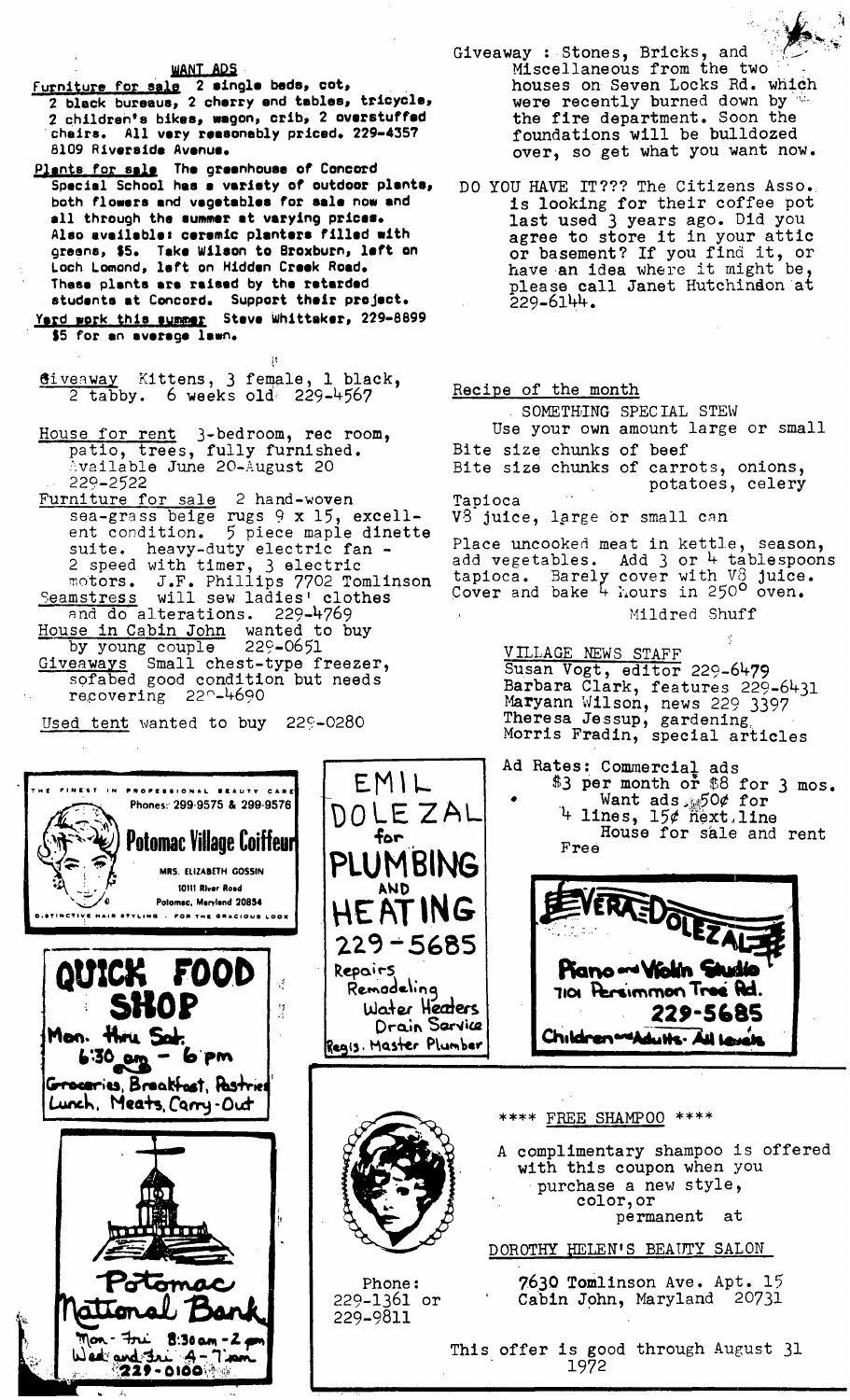WANT ADS

- Furniture for sale 2 single beds, cot,<br>2 black bureaus, 2 cherry end tables, tricycle, 2 children's bikes, wagon, crib, 2 overstuffed chairs. All very reasonably priced. 229-4357 8109 Riverside Avenue.
- Plants for sale The greenhouse of Concord<br>Special School has a variety of outdoor plants, both flowers and vegetables for sale now and all through the summer at varying prices. Also available: ceremic planters filled with greens, \$5. Take Wilson to Broxburn, left on Loch Lomond, laft on Hidden Creek Road. These plants are raised by the retarded students at Concord. Support their project. Yard work this summar Steve Whittaker, 229-8899 \$5 for an average lawn.
- Giveaway Kittens, 3 female, 1 black,  $2$  tabby. 6 weeks old  $229-4567$
- House for rent 3-bedroom, rec room, patio, trees, fully furnished. Available June 20-August 20 229-2522
- Furniture for sale 2 hand-woven sea-grass beige rugs 9 x 15, excellent condition. 5 piece maple dinette<br>suite. heavy-duty electric fan -2 speed with timer, 3 electric<br>motors. J.F. Phillips 7702 Tomlinson<br>mstress will sew ladies' clothes Seamstress and do alterations. 229-4769 House in Cabin John wanted to buy<br>by young couple 229-0651 eaways Small chest-type freezer,<br>sofabed good condition but needs Giveaways recovering  $22^\circ - 4690$
- Used tent wanted to buy 229-0280

Phones: 299-9575 & 299-9576

Potomac Village Coiffeurl

MRS. ELIZABETH GOSSIN 10111 River Road

Potomac, Maryland 20854

.<br>Fyling – for the gracious look

 $8:30$  am  $-2$  p

**PROPESSIONAL** 

QUICK FOOD

SHOP

6:30 am - 6 pm Groceries, Breakfast, Pastries Lunch, Meats, Carry-Out

Mon. Hwy Sak

 $\mathsf{Mon}$  -  $\mathsf{Inr}$ 

Wed and Jul 4-71

- Giveaway : Stones, Bricks, and Miscellaneous from the two houses on Seven Locks Rd. which were recently burned down by the fire department. Soon the foundations will be bulldozed over, so get what you want now.
- DO YOU HAVE IT??? The Citizens Asso. is looking for their coffee pot<br>last used 3 years ago. Did you agree to store it in your attic<br>or basement? If you find it, or<br>have an idea where it might be, please call Janet Hutchindon at  $229 - 6144.$

# Recipe of the month

SOMETHING SPECIAL STEW Use your own amount large or small Bite size chunks of beef<br>Bite size chunks of carrots, onions, potatoes, celery Tapioca V3 juice, large or small can

Place uncooked meat in kettle, season,<br>add vegetables. Add 3 or 4 tablespoons<br>tapioca. Barely cover with  $V_0^2$  juice.<br>Cover and bake 4 hours in 250<sup>0</sup> oven.

Mildred Shuff

VILLAGE NEWS STAFF Susan Vogt, editor 229-6479 Barbara Clark, features 229-6431 Maryann Wilson, news 229 3397 Theresa Jessup, gardening

Ad Rates: Commercial ads<br>
\$3 per month or \$8 for 3 mos. Want ads 50¢ for<br>4 lines, 15¢ next.line House for sale and rent Free





EMIL

for

DOLEZAL

PLUMBING

**HEATING** 

229-5685

Regis. Master Plumber

Water Heaters

Drain Sarvice

AND

Remodeling

Repairs

 $\gamma^4$ 

 $\frac{1}{2}$ 

Phone: 229-1361 or 229-9811

\*\*\*\* FREE SHAMPOO \*\*\*\*

A complimentary shampoo is offered with this coupon when you purchase a new style, color, or permanent - at

DOROTHY HELEN'S BEAUTY SALON

7630 Tomlinson Ave. Apt. 15 Cabin John, Maryland 20731

This offer is good through August 31 1972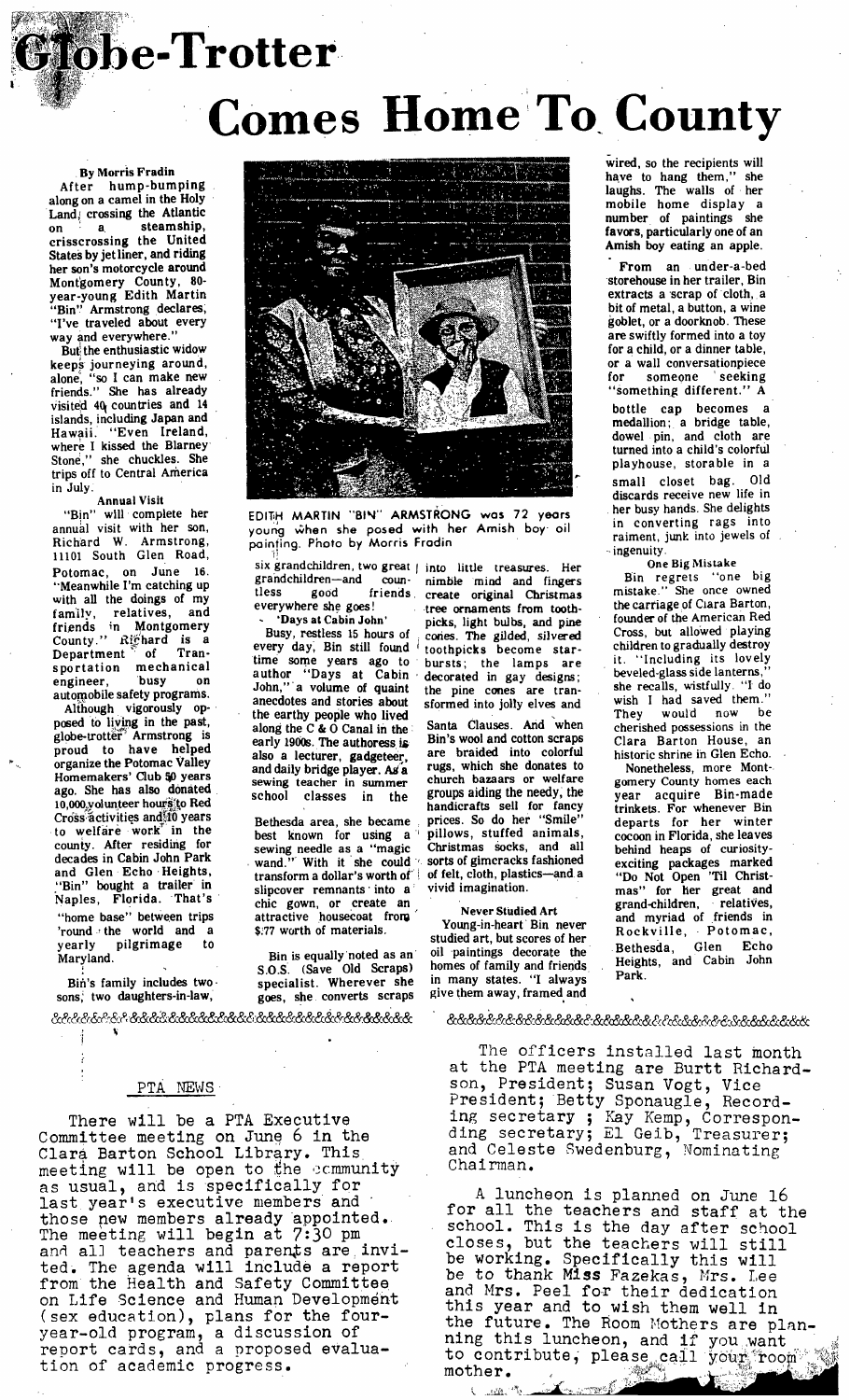# **etobe-Trotter Comes Home To County**

## • By Morris Fradin

After hump-bumping along on a camel in the Holy Land, crossing the Atlantic on a steamship, crisscrossing the United States by jet liner, and riding her son's motorcycle around Monfgomery County, 80 year-young Edith Martin "Bin'.' Armstrong declares; "I've traveled about every way and everywhere."

But the enthusiastic widow keeps journeying around, alone, "so I can make new friends." She has already Visited 40( countries and 14 islands, including Japan and Hawaii. "Even Ireland, where I kissed the Blarney Stone," she chuckles. She trips off to Central America in July.

#### Annual **Visit**

"Bin" will complete her annual visit with her son, Richard W. Armstrong, 11101 South Glen Road, Potomac, on June 16. "Meanwhile I'm catching up with all the doings of my<br>family, relatives, and family, relatives, and friends in Montgomery County." Richard is a Department'of Transportation mechanical<br>engineer, busy on engineer, automobile safety programs.

Although vigorously op-. posed to living in the past, globe-trotter Armstrong is proud to have helped organize the Potomac Valley Homemakers' Club 50 years ago. She has also donated 10,000 volunteer hours to Red Cross activities and it years<br>to welfare work in the to welfare work" county. Mter residing for decades in Cabin John Park and Glen Echo Heights, "Bin" bought a trailer in Naples, Florida. That's "home base" between trips  $\frac{1}{100}$  and  $\frac{1}{100}$  the world and a vearly pilgrimage to yearly pilgrimage to Maryland.

Bin's family includes two. sons, two daughters-in-law,

**J** 

&~,&&&~:&~t&&&i~&&&&&&&&& &&&&&&&&&&&&&&&&

#### PTA NEWS

There will be a PTA Executive Committee meeting on June 6 in the Clara Barton School Library. This meeting will be open to the community as usual, and is specifically for last year's executive members and those new members already appointed. The meeting will begin at 7:30 pm and all teachers and parents are invited. The agenda will include a report from the Health and Safety Committee on Life Science and Human Development (sex education), plans for the fouryear-old program, a discussion of report cards, and a proposed evaluation of academic progress.



EDITH MARTIN "BIN" ARMSTRONG was 72 years young when she posed with her Amish boy oil painting. Photo by Morris Fradin Ħ.

grandchildren--and coun- nimble mind and fingers tless good friends create original Christmas

every day, Bin still found toothpicks become star-<br>time some years ago to bursts; the lamps are<br>author "Days at Cabin decorated in gay designs;<br>John," a volume of quaint the pine cones are trantime some years ago to bursts; the lamps are author "Days at Cabin decorated in gay designs; John,"a volume of quaint the pine cones are trananecdotes and stories about sformed into jolly elves and the earthy people who lived along the C & O Canal in the early 1900s. The authoress is also a lecturer, gadgeteer, and daily bridge player. Ag a sewing teacher in summer<br>school classes in the classes in the

Bethesda area, she became best known for using a sewing needle as a "magic Christmas socks, and all wand.'" With it she could  $\sim$  sorts of gimcracks fashioned sewing neede as a magic of initial docta, and an<br>wand." With it she could sorts of gimeracks fashioned<br>transform a dollar's worth of of felt, cloth, plastics—and a<br>slipcover remnants into a vivid imagination. slipcover remnants into  $a^{\dagger}$ chic gown, or create an **interpretate and the Studied Art**<br>attractive housecoat from **the contract of the Studied Art** \$:77 worth of materials. Young-in-heart Bin never

goes, she converts scraps give them away, framed and

six grandchildren, two great j into little treasures. Her everywhere she goes! ... tree ornaments from tooth-<br>
... 'Days at Cabin John' ... picks. light bulbs. and pine 'Days at Cabin John' picks, light bulbs, and pine Busy, restless 15 hours of cones. The gilded, silvered

> Santa Clauses. And "when Bin's wool and cotton scraps are braided into colorful rugs, which she donates to church bazaars or welfare groups aiding the needy, the handicrafts sell for fancy prices. So do her "Smile" pillows, stuffed animals,<br>Christmas socks, and all

studied art, but scores of her<br>oil paintings decorate the Bin is equally noted as an oil paintings decorate the  $\Omega$  S. (Save Old Scraps) homes of family and friends S.O.S. (Save Old Scraps) homes of family and friends specialist. Wherever she in many states. "I always

 $\mathbb{R}^{k_0}$  ,  $\mathbb{R}^{n_0}$  ,  $\mathbb{R}$ 

&&&&&&&~:&&&&&&&~&&&&&&&&&&&&&&&&&&

The officers installed last month at the PTA meeting are Burtt Richardson, President; Susan Vogt~ Vice President; Betty Sponaugle, Recording secretary; Kay Kemp, Corresponding secretary; E1 Geib, Treasurer; and Celeste  $\footnotesize{\texttt{Swedenburg, Nominating}}$ Chairman.

A luncheon is planned on June 16 for all the teachers and staff at the school. This is the day after school closes, but the teachers will still be working. Specifically this will be to thank Miss Fazekas, Mrs. Lee and Mrs. Peel for their dedication this year and to wish them well in the future. The Room Mothers are planning this luncheon, and if you want  $\frac{1}{2}$ to contribute, please call your room  $\mathbb{Z}_\mathbb{R}^{\infty}$ 

wired, so the recipients will have to hang them," she laughs. The walls of her mobile home display a number of paintings she favors, particularly one of an Amish boy eating an apple.

From an under-a-bed storehouse in her trailer, Bin extracts a scrap of cloth, a bit of metal, a button, a wine goblet, or a doorknob. These are swiftly formed into a toy for a child, or a dinner table, or a wall conversationpiece<br>for someone seeking someone seeking 'something different." A

bottle cap becomes a medallion; a bridge table, dowel pin, and cloth are turned into a child's colorful playhouse, storable in a small closet bag. Old discards receive new life in her busy hands. She delights in converting rags into raiment, junk into jewels of . ingenuity.

One Big Mistake

Bin regrets "one big mistake." She once owned the carriage of Ciara Barton, founder of the American Red Cross, but allowed playing children to gradually destroy it. "Including its lovely beveled-glass side lanterns, she recalls, wistfully. "I do wish I had saved them."<br>They would now be They would now cherished possessions in the Clara Barton House, an historic shrine in Glen Echo.

Nonetheless, more Mont-. gomery County homes each year acquire Bin-made trinkets. For whenever Bin departs for her winter cocoon in Florida, she leaves behind heaps of curiosityexciting packages marked "Do Not Open 'Til Christmas" for her great and grand-children, • relatives, grand-children, relatives,<br>and myriad of friends in Rockville, Potomac, Bethesda, Glen Echo Heights, and Cabin John Park.